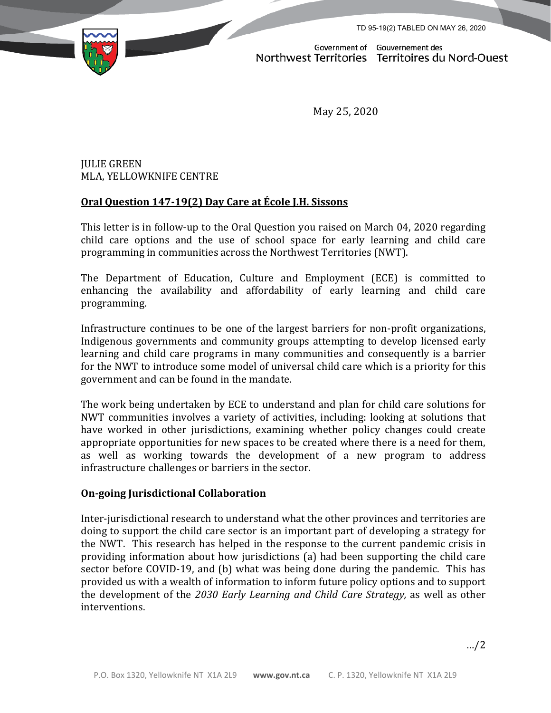TD 95-19(2) TABLED ON MAY 26, 2020



Government of Gouvernement des Northwest Territories Territoires du Nord-Ouest

May 25, 2020

# JULIE GREEN MLA, YELLOWKNIFE CENTRE

# **Oral Question 147-19(2) Day Care at École J.H. Sissons**

This letter is in follow-up to the Oral Question you raised on March 04, 2020 regarding child care options and the use of school space for early learning and child care programming in communities across the Northwest Territories (NWT).

The Department of Education, Culture and Employment (ECE) is committed to enhancing the availability and affordability of early learning and child care programming.

Infrastructure continues to be one of the largest barriers for non-profit organizations, Indigenous governments and community groups attempting to develop licensed early learning and child care programs in many communities and consequently is a barrier for the NWT to introduce some model of universal child care which is a priority for this government and can be found in the mandate.

The work being undertaken by ECE to understand and plan for child care solutions for NWT communities involves a variety of activities, including: looking at solutions that have worked in other jurisdictions, examining whether policy changes could create appropriate opportunities for new spaces to be created where there is a need for them, as well as working towards the development of a new program to address infrastructure challenges or barriers in the sector.

## **On-going Jurisdictional Collaboration**

Inter-jurisdictional research to understand what the other provinces and territories are doing to support the child care sector is an important part of developing a strategy for the NWT. This research has helped in the response to the current pandemic crisis in providing information about how jurisdictions (a) had been supporting the child care sector before COVID-19, and (b) what was being done during the pandemic. This has provided us with a wealth of information to inform future policy options and to support the development of the *2030 Early Learning and Child Care Strategy,* as well as other interventions.